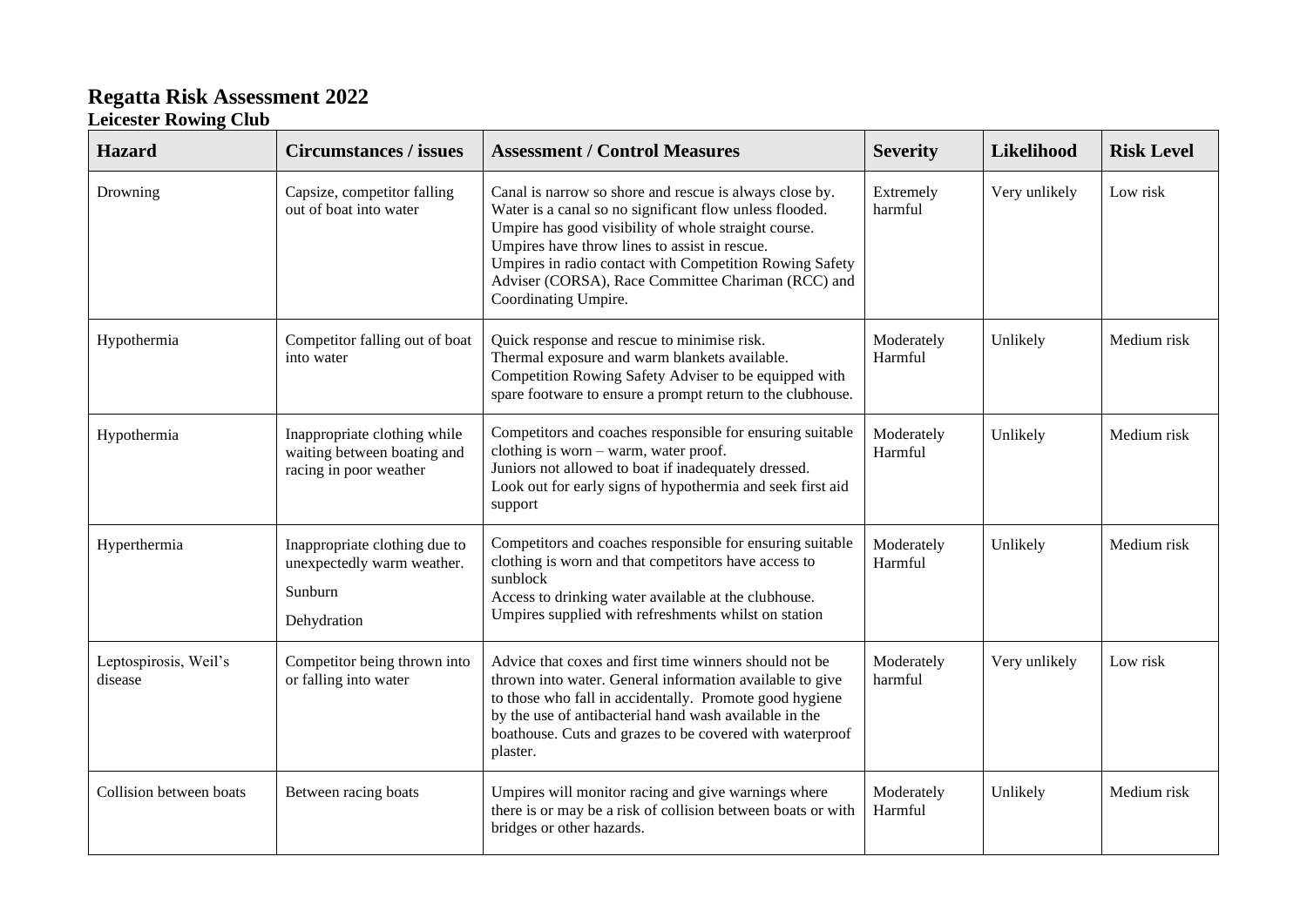## **Regatta Risk Assessment 2022**

## **Leicester Rowing Club**

| <b>Hazard</b>                    | <b>Circumstances / issues</b>                                                         | <b>Assessment / Control Measures</b>                                                                                                                                                                                                                                                                                                                                 | <b>Severity</b>       | Likelihood    | <b>Risk Level</b> |
|----------------------------------|---------------------------------------------------------------------------------------|----------------------------------------------------------------------------------------------------------------------------------------------------------------------------------------------------------------------------------------------------------------------------------------------------------------------------------------------------------------------|-----------------------|---------------|-------------------|
| Drowning                         | Capsize, competitor falling<br>out of boat into water                                 | Canal is narrow so shore and rescue is always close by.<br>Water is a canal so no significant flow unless flooded.<br>Umpire has good visibility of whole straight course.<br>Umpires have throw lines to assist in rescue.<br>Umpires in radio contact with Competition Rowing Safety<br>Adviser (CORSA), Race Committee Chariman (RCC) and<br>Coordinating Umpire. | Extremely<br>harmful  | Very unlikely | Low risk          |
| Hypothermia                      | Competitor falling out of boat<br>into water                                          | Quick response and rescue to minimise risk.<br>Thermal exposure and warm blankets available.<br>Competition Rowing Safety Adviser to be equipped with<br>spare footware to ensure a prompt return to the clubhouse.                                                                                                                                                  | Moderately<br>Harmful | Unlikely      | Medium risk       |
| Hypothermia                      | Inappropriate clothing while<br>waiting between boating and<br>racing in poor weather | Competitors and coaches responsible for ensuring suitable<br>clothing is worn - warm, water proof.<br>Juniors not allowed to boat if inadequately dressed.<br>Look out for early signs of hypothermia and seek first aid<br>support                                                                                                                                  | Moderately<br>Harmful | Unlikely      | Medium risk       |
| Hyperthermia                     | Inappropriate clothing due to<br>unexpectedly warm weather.<br>Sunburn<br>Dehydration | Competitors and coaches responsible for ensuring suitable<br>clothing is worn and that competitors have access to<br>sunblock<br>Access to drinking water available at the clubhouse.<br>Umpires supplied with refreshments whilst on station                                                                                                                        | Moderately<br>Harmful | Unlikely      | Medium risk       |
| Leptospirosis, Weil's<br>disease | Competitor being thrown into<br>or falling into water                                 | Advice that coxes and first time winners should not be<br>thrown into water. General information available to give<br>to those who fall in accidentally. Promote good hygiene<br>by the use of antibacterial hand wash available in the<br>boathouse. Cuts and grazes to be covered with waterproof<br>plaster.                                                      | Moderately<br>harmful | Very unlikely | Low risk          |
| Collision between boats          | Between racing boats                                                                  | Umpires will monitor racing and give warnings where<br>there is or may be a risk of collision between boats or with<br>bridges or other hazards.                                                                                                                                                                                                                     | Moderately<br>Harmful | Unlikely      | Medium risk       |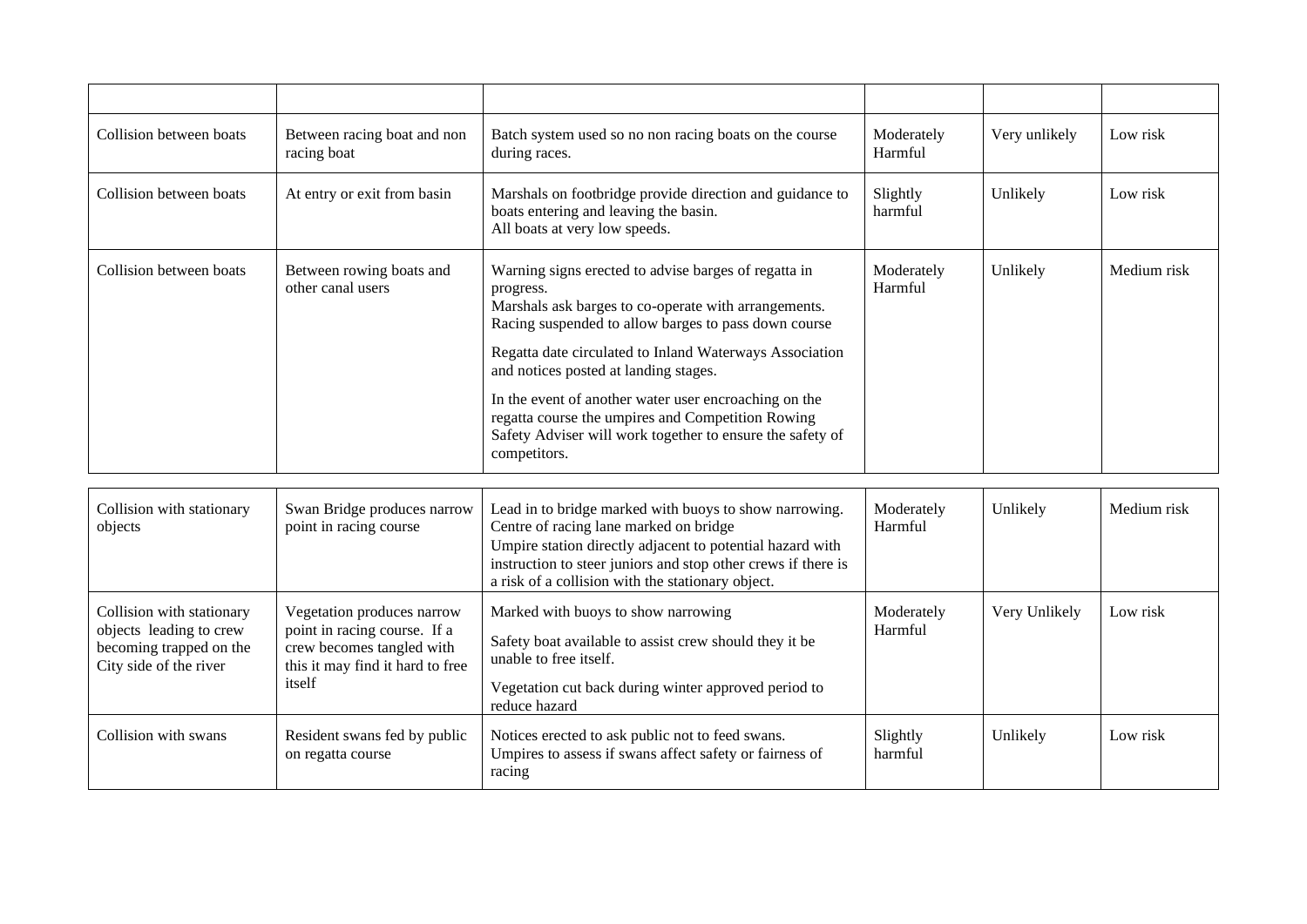| Collision between boats | Between racing boat and non<br>racing boat    | Batch system used so no non racing boats on the course<br>during races.                                                                                                                                                                                                                                                                                                                                                                                                          | Moderately<br>Harmful | Very unlikely | Low risk    |
|-------------------------|-----------------------------------------------|----------------------------------------------------------------------------------------------------------------------------------------------------------------------------------------------------------------------------------------------------------------------------------------------------------------------------------------------------------------------------------------------------------------------------------------------------------------------------------|-----------------------|---------------|-------------|
| Collision between boats | At entry or exit from basin                   | Marshals on footbridge provide direction and guidance to<br>boats entering and leaving the basin.<br>All boats at very low speeds.                                                                                                                                                                                                                                                                                                                                               | Slightly<br>harmful   | Unlikely      | Low risk    |
| Collision between boats | Between rowing boats and<br>other canal users | Warning signs erected to advise barges of regatta in<br>progress.<br>Marshals ask barges to co-operate with arrangements.<br>Racing suspended to allow barges to pass down course<br>Regatta date circulated to Inland Waterways Association<br>and notices posted at landing stages.<br>In the event of another water user encroaching on the<br>regatta course the umpires and Competition Rowing<br>Safety Adviser will work together to ensure the safety of<br>competitors. | Moderately<br>Harmful | Unlikely      | Medium risk |

| Collision with stationary<br>objects                                                                      | Swan Bridge produces narrow<br>point in racing course                                                                                 | Lead in to bridge marked with buoys to show narrowing.<br>Centre of racing lane marked on bridge<br>Umpire station directly adjacent to potential hazard with<br>instruction to steer juniors and stop other crews if there is<br>a risk of a collision with the stationary object. | Moderately<br>Harmful | Unlikely      | Medium risk |
|-----------------------------------------------------------------------------------------------------------|---------------------------------------------------------------------------------------------------------------------------------------|-------------------------------------------------------------------------------------------------------------------------------------------------------------------------------------------------------------------------------------------------------------------------------------|-----------------------|---------------|-------------|
| Collision with stationary<br>objects leading to crew<br>becoming trapped on the<br>City side of the river | Vegetation produces narrow<br>point in racing course. If a<br>crew becomes tangled with<br>this it may find it hard to free<br>itself | Marked with buoys to show narrowing<br>Safety boat available to assist crew should they it be<br>unable to free itself.<br>Vegetation cut back during winter approved period to<br>reduce hazard                                                                                    | Moderately<br>Harmful | Very Unlikely | Low risk    |
| Collision with swans                                                                                      | Resident swans fed by public<br>on regatta course                                                                                     | Notices erected to ask public not to feed swans.<br>Umpires to assess if swans affect safety or fairness of<br>racing                                                                                                                                                               | Slightly<br>harmful   | Unlikely      | Low risk    |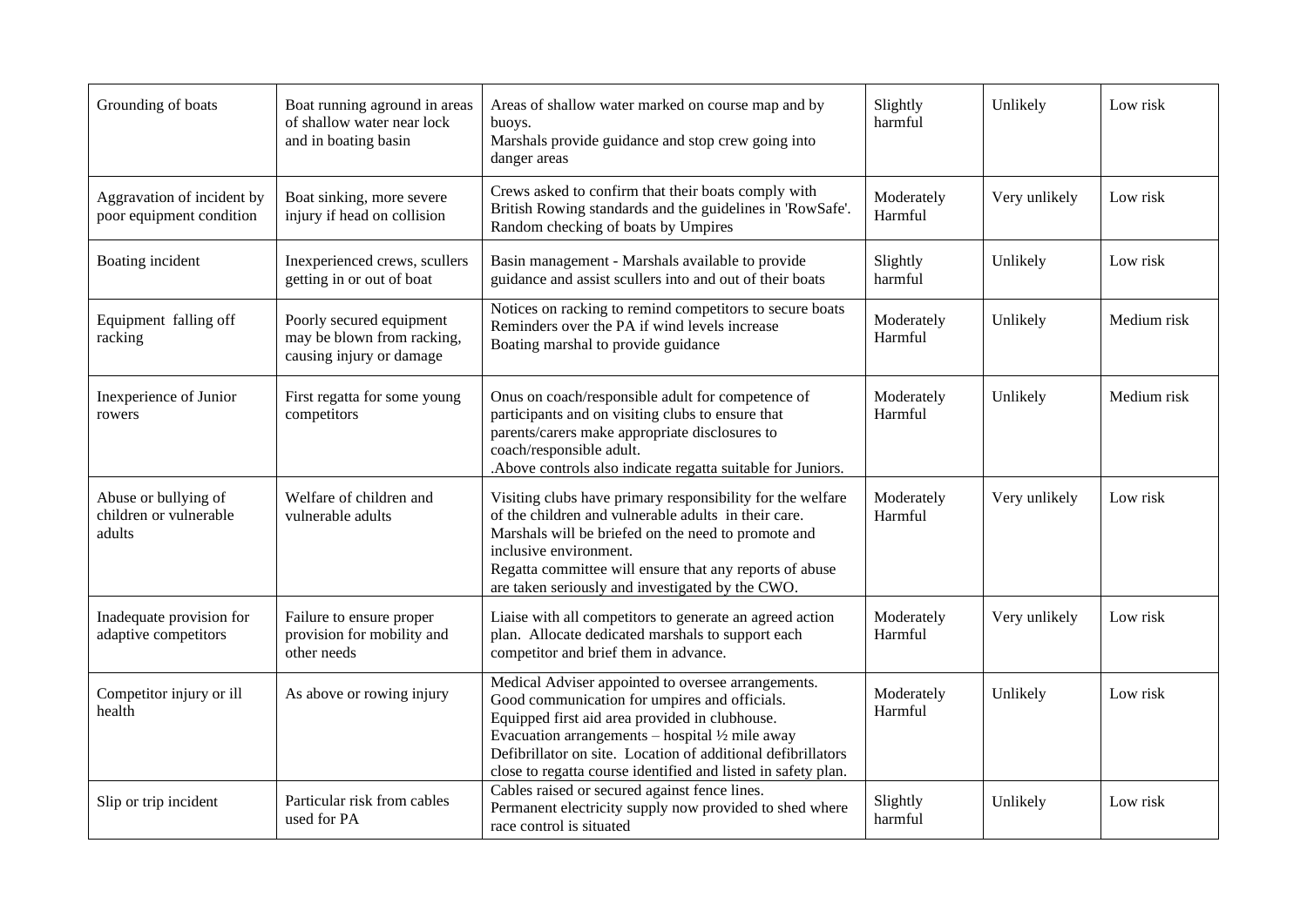| Grounding of boats                                       | Boat running aground in areas<br>of shallow water near lock<br>and in boating basin | Areas of shallow water marked on course map and by<br>buoys.<br>Marshals provide guidance and stop crew going into<br>danger areas                                                                                                                                                                                                                   | Slightly<br>$\mbox{harmful}$ | Unlikely      | Low risk    |
|----------------------------------------------------------|-------------------------------------------------------------------------------------|------------------------------------------------------------------------------------------------------------------------------------------------------------------------------------------------------------------------------------------------------------------------------------------------------------------------------------------------------|------------------------------|---------------|-------------|
| Aggravation of incident by<br>poor equipment condition   | Boat sinking, more severe<br>injury if head on collision                            | Crews asked to confirm that their boats comply with<br>British Rowing standards and the guidelines in 'RowSafe'.<br>Random checking of boats by Umpires                                                                                                                                                                                              | Moderately<br>Harmful        | Very unlikely | Low risk    |
| Boating incident                                         | Inexperienced crews, scullers<br>getting in or out of boat                          | Basin management - Marshals available to provide<br>guidance and assist scullers into and out of their boats                                                                                                                                                                                                                                         | Slightly<br>harmful          | Unlikely      | Low risk    |
| Equipment falling off<br>racking                         | Poorly secured equipment<br>may be blown from racking,<br>causing injury or damage  | Notices on racking to remind competitors to secure boats<br>Reminders over the PA if wind levels increase<br>Boating marshal to provide guidance                                                                                                                                                                                                     | Moderately<br>Harmful        | Unlikely      | Medium risk |
| Inexperience of Junior<br>rowers                         | First regatta for some young<br>competitors                                         | Onus on coach/responsible adult for competence of<br>participants and on visiting clubs to ensure that<br>parents/carers make appropriate disclosures to<br>coach/responsible adult.<br>Above controls also indicate regatta suitable for Juniors.                                                                                                   | Moderately<br>Harmful        | Unlikely      | Medium risk |
| Abuse or bullying of<br>children or vulnerable<br>adults | Welfare of children and<br>vulnerable adults                                        | Visiting clubs have primary responsibility for the welfare<br>of the children and vulnerable adults in their care.<br>Marshals will be briefed on the need to promote and<br>inclusive environment.<br>Regatta committee will ensure that any reports of abuse<br>are taken seriously and investigated by the CWO.                                   | Moderately<br>Harmful        | Very unlikely | Low risk    |
| Inadequate provision for<br>adaptive competitors         | Failure to ensure proper<br>provision for mobility and<br>other needs               | Liaise with all competitors to generate an agreed action<br>plan. Allocate dedicated marshals to support each<br>competitor and brief them in advance.                                                                                                                                                                                               | Moderately<br>Harmful        | Very unlikely | Low risk    |
| Competitor injury or ill<br>health                       | As above or rowing injury                                                           | Medical Adviser appointed to oversee arrangements.<br>Good communication for umpires and officials.<br>Equipped first aid area provided in clubhouse.<br>Evacuation arrangements – hospital $\frac{1}{2}$ mile away<br>Defibrillator on site. Location of additional defibrillators<br>close to regatta course identified and listed in safety plan. | Moderately<br>Harmful        | Unlikely      | Low risk    |
| Slip or trip incident                                    | Particular risk from cables<br>used for PA                                          | Cables raised or secured against fence lines.<br>Permanent electricity supply now provided to shed where<br>race control is situated                                                                                                                                                                                                                 | Slightly<br>harmful          | Unlikely      | Low risk    |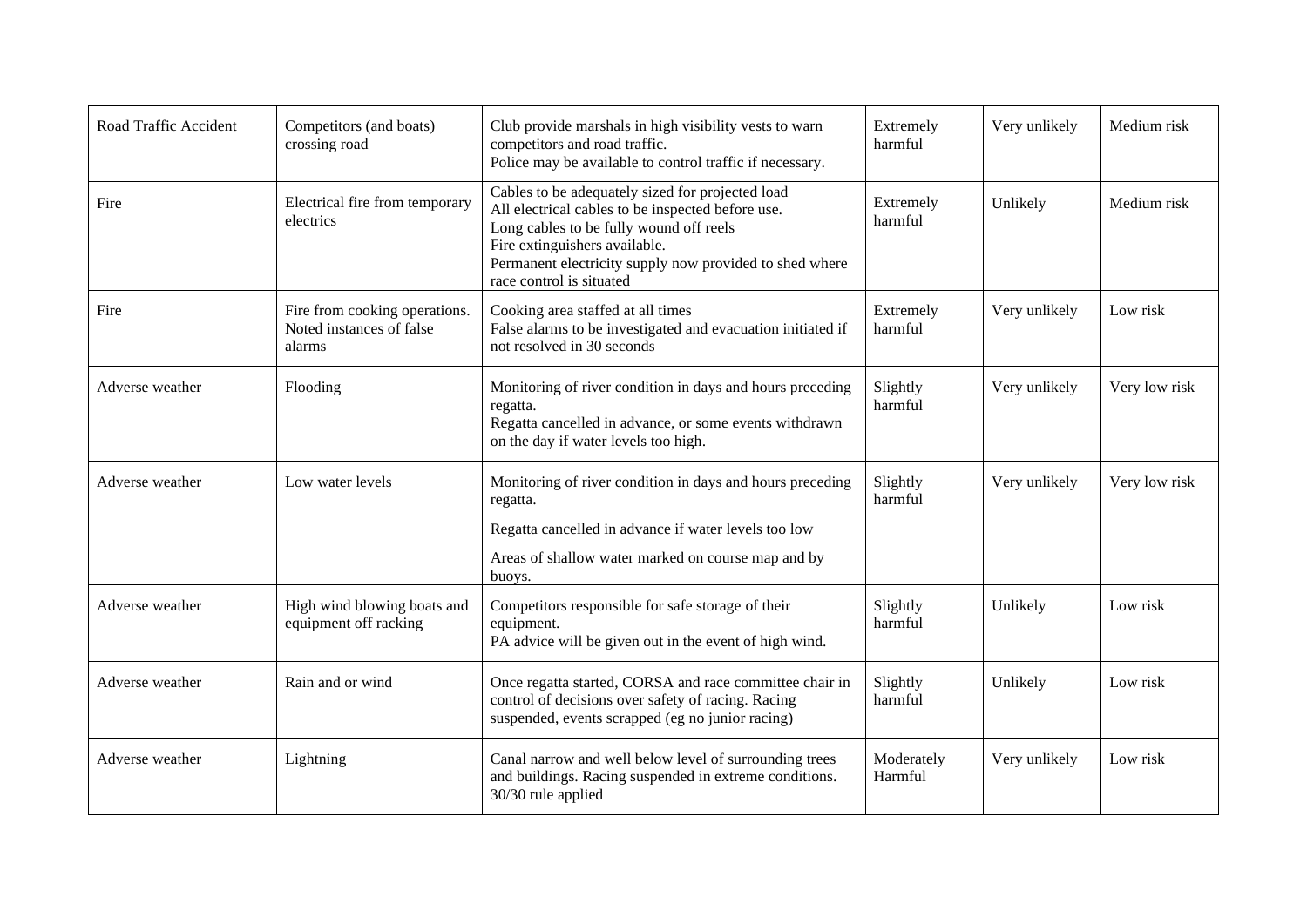| Road Traffic Accident | Competitors (and boats)<br>crossing road                            | Club provide marshals in high visibility vests to warn<br>competitors and road traffic.<br>Police may be available to control traffic if necessary.                                                                                                                      | Extremely<br>harmful  | Very unlikely | Medium risk   |
|-----------------------|---------------------------------------------------------------------|--------------------------------------------------------------------------------------------------------------------------------------------------------------------------------------------------------------------------------------------------------------------------|-----------------------|---------------|---------------|
| Fire                  | Electrical fire from temporary<br>electrics                         | Cables to be adequately sized for projected load<br>All electrical cables to be inspected before use.<br>Long cables to be fully wound off reels<br>Fire extinguishers available.<br>Permanent electricity supply now provided to shed where<br>race control is situated | Extremely<br>harmful  | Unlikely      | Medium risk   |
| Fire                  | Fire from cooking operations.<br>Noted instances of false<br>alarms | Cooking area staffed at all times<br>False alarms to be investigated and evacuation initiated if<br>not resolved in 30 seconds                                                                                                                                           | Extremely<br>harmful  | Very unlikely | Low risk      |
| Adverse weather       | Flooding                                                            | Monitoring of river condition in days and hours preceding<br>regatta.<br>Regatta cancelled in advance, or some events withdrawn<br>on the day if water levels too high.                                                                                                  | Slightly<br>harmful   | Very unlikely | Very low risk |
| Adverse weather       | Low water levels                                                    | Monitoring of river condition in days and hours preceding<br>regatta.                                                                                                                                                                                                    | Slightly<br>harmful   | Very unlikely | Very low risk |
|                       |                                                                     | Regatta cancelled in advance if water levels too low<br>Areas of shallow water marked on course map and by<br>buoys.                                                                                                                                                     |                       |               |               |
| Adverse weather       | High wind blowing boats and<br>equipment off racking                | Competitors responsible for safe storage of their<br>equipment.<br>PA advice will be given out in the event of high wind.                                                                                                                                                | Slightly<br>harmful   | Unlikely      | Low risk      |
| Adverse weather       | Rain and or wind                                                    | Once regatta started, CORSA and race committee chair in<br>control of decisions over safety of racing. Racing<br>suspended, events scrapped (eg no junior racing)                                                                                                        | Slightly<br>harmful   | Unlikely      | Low risk      |
| Adverse weather       | Lightning                                                           | Canal narrow and well below level of surrounding trees<br>and buildings. Racing suspended in extreme conditions.<br>30/30 rule applied                                                                                                                                   | Moderately<br>Harmful | Very unlikely | Low risk      |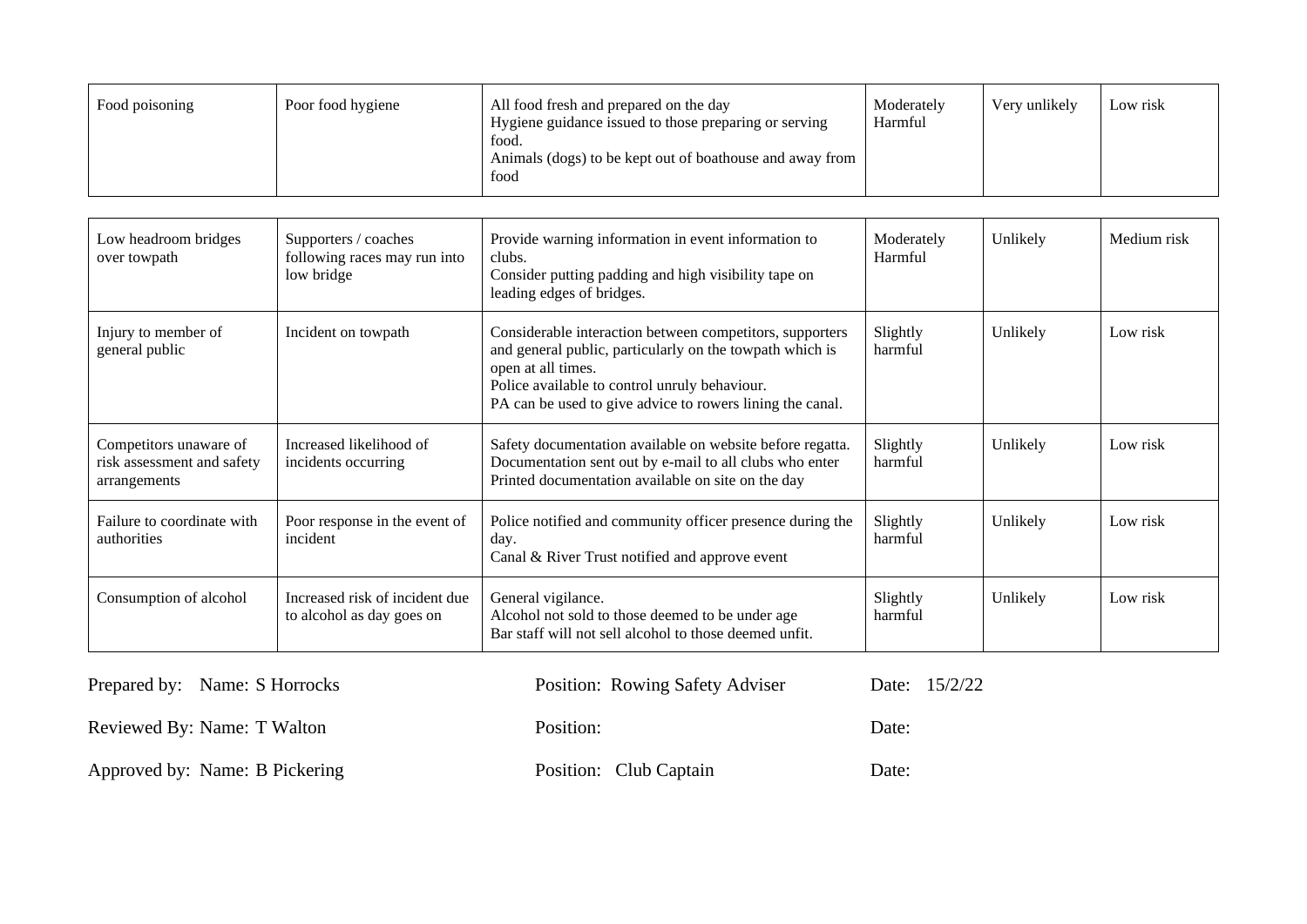| Food poisoning | Poor food hygiene | All food fresh and prepared on the day<br>Hygiene guidance issued to those preparing or serving<br>food.<br>Animals (dogs) to be kept out of boathouse and away from<br>food | Moderately<br>Harmful | Very unlikely | Low risk |
|----------------|-------------------|------------------------------------------------------------------------------------------------------------------------------------------------------------------------------|-----------------------|---------------|----------|
|----------------|-------------------|------------------------------------------------------------------------------------------------------------------------------------------------------------------------------|-----------------------|---------------|----------|

| Low headroom bridges<br>over towpath                                 | Supporters / coaches<br>following races may run into<br>low bridge | Provide warning information in event information to<br>clubs.<br>Consider putting padding and high visibility tape on<br>leading edges of bridges.                                                                                                       | Moderately<br>Harmful | Unlikely | Medium risk |
|----------------------------------------------------------------------|--------------------------------------------------------------------|----------------------------------------------------------------------------------------------------------------------------------------------------------------------------------------------------------------------------------------------------------|-----------------------|----------|-------------|
| Injury to member of<br>general public                                | Incident on towpath                                                | Considerable interaction between competitors, supporters<br>and general public, particularly on the towpath which is<br>open at all times.<br>Police available to control unruly behaviour.<br>PA can be used to give advice to rowers lining the canal. | Slightly<br>harmful   | Unlikely | Low risk    |
| Competitors unaware of<br>risk assessment and safety<br>arrangements | Increased likelihood of<br>incidents occurring                     | Safety documentation available on website before regatta.<br>Documentation sent out by e-mail to all clubs who enter<br>Printed documentation available on site on the day                                                                               | Slightly<br>harmful   | Unlikely | Low risk    |
| Failure to coordinate with<br>authorities                            | Poor response in the event of<br>incident                          | Police notified and community officer presence during the<br>day.<br>Canal & River Trust notified and approve event                                                                                                                                      | Slightly<br>harmful   | Unlikely | Low risk    |
| Consumption of alcohol                                               | Increased risk of incident due<br>to alcohol as day goes on        | General vigilance.<br>Alcohol not sold to those deemed to be under age<br>Bar staff will not sell alcohol to those deemed unfit.                                                                                                                         | Slightly<br>harmful   | Unlikely | Low risk    |

| Prepared by: Name: S Horrocks  | Position: Rowing Safety Adviser | Date: 15/2/22 |
|--------------------------------|---------------------------------|---------------|
| Reviewed By: Name: T Walton    | Position:                       | Date:         |
| Approved by: Name: B Pickering | Position: Club Captain          | Date:         |